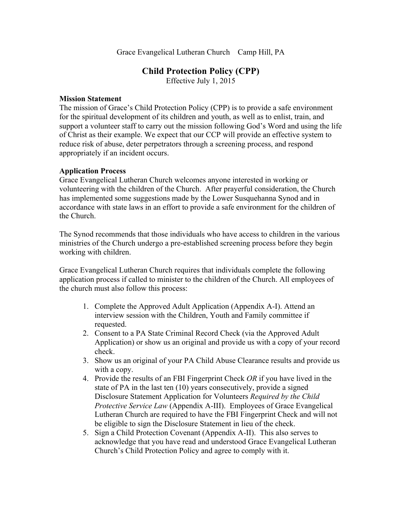Grace Evangelical Lutheran Church Camp Hill, PA

# **Child Protection Policy (CPP)**

Effective July 1, 2015

#### **Mission Statement**

The mission of Grace's Child Protection Policy (CPP) is to provide a safe environment for the spiritual development of its children and youth, as well as to enlist, train, and support a volunteer staff to carry out the mission following God's Word and using the life of Christ as their example. We expect that our CCP will provide an effective system to reduce risk of abuse, deter perpetrators through a screening process, and respond appropriately if an incident occurs.

#### **Application Process**

Grace Evangelical Lutheran Church welcomes anyone interested in working or volunteering with the children of the Church. After prayerful consideration, the Church has implemented some suggestions made by the Lower Susquehanna Synod and in accordance with state laws in an effort to provide a safe environment for the children of the Church.

The Synod recommends that those individuals who have access to children in the various ministries of the Church undergo a pre-established screening process before they begin working with children.

Grace Evangelical Lutheran Church requires that individuals complete the following application process if called to minister to the children of the Church. All employees of the church must also follow this process:

- 1. Complete the Approved Adult Application (Appendix A-I). Attend an interview session with the Children, Youth and Family committee if requested.
- 2. Consent to a PA State Criminal Record Check (via the Approved Adult Application) or show us an original and provide us with a copy of your record check.
- 3. Show us an original of your PA Child Abuse Clearance results and provide us with a copy.
- 4. Provide the results of an FBI Fingerprint Check *OR* if you have lived in the state of PA in the last ten (10) years consecutively, provide a signed Disclosure Statement Application for Volunteers *Required by the Child Protective Service Law* (Appendix A-III). Employees of Grace Evangelical Lutheran Church are required to have the FBI Fingerprint Check and will not be eligible to sign the Disclosure Statement in lieu of the check.
- 5. Sign a Child Protection Covenant (Appendix A-II). This also serves to acknowledge that you have read and understood Grace Evangelical Lutheran Church's Child Protection Policy and agree to comply with it.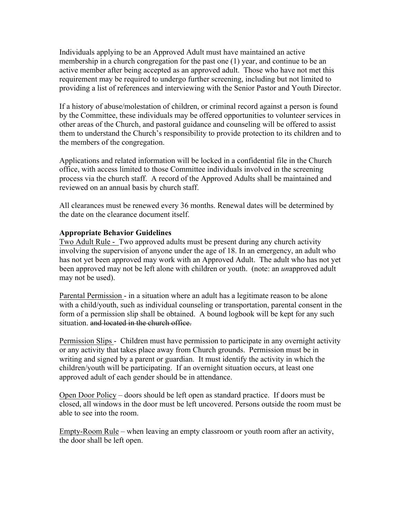Individuals applying to be an Approved Adult must have maintained an active membership in a church congregation for the past one (1) year, and continue to be an active member after being accepted as an approved adult. Those who have not met this requirement may be required to undergo further screening, including but not limited to providing a list of references and interviewing with the Senior Pastor and Youth Director.

If a history of abuse/molestation of children, or criminal record against a person is found by the Committee, these individuals may be offered opportunities to volunteer services in other areas of the Church, and pastoral guidance and counseling will be offered to assist them to understand the Church's responsibility to provide protection to its children and to the members of the congregation.

Applications and related information will be locked in a confidential file in the Church office, with access limited to those Committee individuals involved in the screening process via the church staff. A record of the Approved Adults shall be maintained and reviewed on an annual basis by church staff.

All clearances must be renewed every 36 months. Renewal dates will be determined by the date on the clearance document itself.

### **Appropriate Behavior Guidelines**

Two Adult Rule - Two approved adults must be present during any church activity involving the supervision of anyone under the age of 18. In an emergency, an adult who has not yet been approved may work with an Approved Adult. The adult who has not yet been approved may not be left alone with children or youth. (note: an *un*approved adult may not be used).

Parental Permission - in a situation where an adult has a legitimate reason to be alone with a child/youth, such as individual counseling or transportation, parental consent in the form of a permission slip shall be obtained. A bound logbook will be kept for any such situation. and located in the church office.

Permission Slips - Children must have permission to participate in any overnight activity or any activity that takes place away from Church grounds. Permission must be in writing and signed by a parent or guardian. It must identify the activity in which the children/youth will be participating. If an overnight situation occurs, at least one approved adult of each gender should be in attendance.

Open Door Policy – doors should be left open as standard practice. If doors must be closed, all windows in the door must be left uncovered. Persons outside the room must be able to see into the room.

Empty-Room Rule – when leaving an empty classroom or youth room after an activity, the door shall be left open.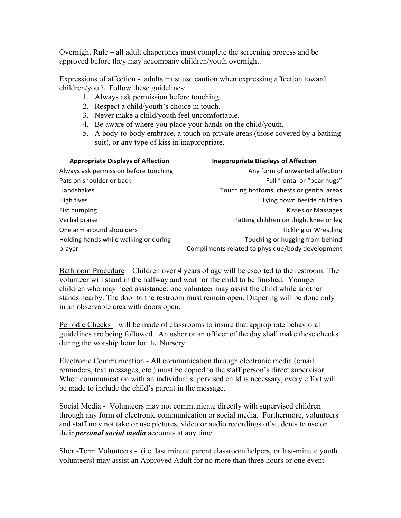Overnight Rule – all adult chaperones must complete the screening process and be approved before they may accompany children/youth overnight.

Expressions of affection - adults must use caution when expressing affection toward children/youth. Follow these guidelines:

- 1. Always ask permission before touching.
- 2. Respect a child/youth's choice in touch.
- 3. Never make a child/youth feel uncomfortable.
- 4. Be aware of where you place your hands on the child/youth.
- 5. A body-to-body embrace, a touch on private areas (those covered by a bathing suit), or any type of kiss in inappropriate.

| <b>Appropriate Displays of Affection</b>        | <b>Inappropriate Displays of Affection</b>                                          |
|-------------------------------------------------|-------------------------------------------------------------------------------------|
| Always ask permission before touching           | Any form of unwanted affection                                                      |
| Pats on shoulder or back                        | Full frontal or "bear hugs"                                                         |
| Handshakes                                      | Touching bottoms, chests or genital areas                                           |
| High fives                                      | Lying down beside children                                                          |
| Fist bumping                                    | Kisses or Massages                                                                  |
| Verbal praise                                   | Patting children on thigh, knee or leg                                              |
| One arm around shoulders                        | <b>Tickling or Wrestling</b>                                                        |
| Holding hands while walking or during<br>prayer | Touching or hugging from behind<br>Compliments related to physique/body development |

Bathroom Procedure – Children over 4 years of age will be escorted to the restroom. The volunteer will stand in the hallway and wait for the child to be finished. Younger children who may need assistance: one volunteer may assist the child while another stands nearby. The door to the restroom must remain open. Diapering will be done only in an observable area with doors open.

Periodic Checks – will be made of classrooms to insure that appropriate behavioral guidelines are being followed. An usher or an officer of the day shall make these checks during the worship hour for the Nursery.

Electronic Communication - All communication through electronic media (email reminders, text messages, etc.) must be copied to the staff person's direct supervisor. When communication with an individual supervised child is necessary, every effort will be made to include the child's parent in the message.

Social Media - Volunteers may not communicate directly with supervised children through any form of electronic communication or social media. Furthermore, volunteers and staff may not take or use pictures, video or audio recordings of students to use on their *personal social media* accounts at any time.

Short-Term Volunteers - (i.e. last minute parent classroom helpers, or last-minute youth volunteers) may assist an Approved Adult for no more than three hours or one event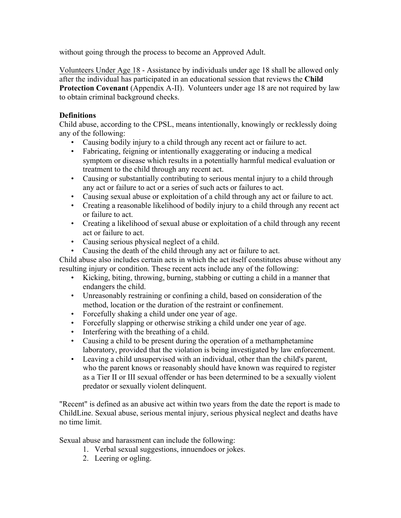without going through the process to become an Approved Adult.

Volunteers Under Age 18 - Assistance by individuals under age 18 shall be allowed only after the individual has participated in an educational session that reviews the **Child Protection Covenant** (Appendix A-II). Volunteers under age 18 are not required by law to obtain criminal background checks.

# **Definitions**

Child abuse, according to the CPSL, means intentionally, knowingly or recklessly doing any of the following:

- Causing bodily injury to a child through any recent act or failure to act.
- Fabricating, feigning or intentionally exaggerating or inducing a medical symptom or disease which results in a potentially harmful medical evaluation or treatment to the child through any recent act.
- Causing or substantially contributing to serious mental injury to a child through any act or failure to act or a series of such acts or failures to act.
- Causing sexual abuse or exploitation of a child through any act or failure to act.
- Creating a reasonable likelihood of bodily injury to a child through any recent act or failure to act.
- Creating a likelihood of sexual abuse or exploitation of a child through any recent act or failure to act.
- Causing serious physical neglect of a child.
- Causing the death of the child through any act or failure to act.

Child abuse also includes certain acts in which the act itself constitutes abuse without any resulting injury or condition. These recent acts include any of the following:

- Kicking, biting, throwing, burning, stabbing or cutting a child in a manner that endangers the child.
- Unreasonably restraining or confining a child, based on consideration of the method, location or the duration of the restraint or confinement.
- Forcefully shaking a child under one year of age.
- Forcefully slapping or otherwise striking a child under one year of age.
- Interfering with the breathing of a child.
- Causing a child to be present during the operation of a methamphetamine laboratory, provided that the violation is being investigated by law enforcement.
- Leaving a child unsupervised with an individual, other than the child's parent, who the parent knows or reasonably should have known was required to register as a Tier II or III sexual offender or has been determined to be a sexually violent predator or sexually violent delinquent.

"Recent" is defined as an abusive act within two years from the date the report is made to ChildLine. Sexual abuse, serious mental injury, serious physical neglect and deaths have no time limit.

Sexual abuse and harassment can include the following:

- 1. Verbal sexual suggestions, innuendoes or jokes.
- 2. Leering or ogling.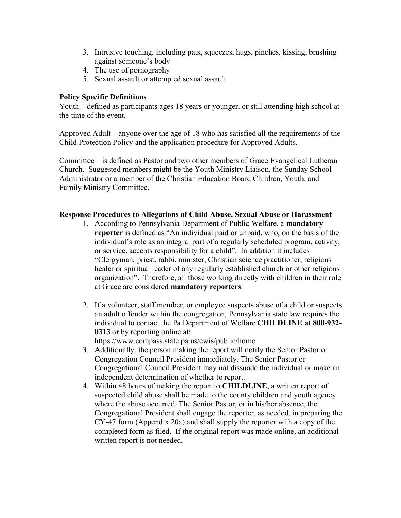- 3. Intrusive touching, including pats, squeezes, hugs, pinches, kissing, brushing against someone's body
- 4. The use of pornography
- 5. Sexual assault or attempted sexual assault

## **Policy Specific Definitions**

Youth – defined as participants ages 18 years or younger, or still attending high school at the time of the event.

Approved Adult – anyone over the age of 18 who has satisfied all the requirements of the Child Protection Policy and the application procedure for Approved Adults.

Committee – is defined as Pastor and two other members of Grace Evangelical Lutheran Church. Suggested members might be the Youth Ministry Liaison, the Sunday School Administrator or a member of the Christian Education Board Children, Youth, and Family Ministry Committee.

### **Response Procedures to Allegations of Child Abuse, Sexual Abuse or Harassment**

- 1. According to Pennsylvania Department of Public Welfare, a **mandatory reporter** is defined as "An individual paid or unpaid, who, on the basis of the individual's role as an integral part of a regularly scheduled program, activity, or service, accepts responsibility for a child". In addition it includes "Clergyman, priest, rabbi, minister, Christian science practitioner, religious healer or spiritual leader of any regularly established church or other religious organization". Therefore, all those working directly with children in their role at Grace are considered **mandatory reporters**.
- 2. If a volunteer, staff member, or employee suspects abuse of a child or suspects an adult offender within the congregation, Pennsylvania state law requires the individual to contact the Pa Department of Welfare **CHILDLINE at 800-932- 0313** or by reporting online at: https://www.compass.state.pa.us/cwis/public/home
- 3. Additionally, the person making the report will notify the Senior Pastor or Congregation Council President immediately. The Senior Pastor or Congregational Council President may not dissuade the individual or make an independent determination of whether to report.
- 4. Within 48 hours of making the report to **CHILDLINE**, a written report of suspected child abuse shall be made to the county children and youth agency where the abuse occurred. The Senior Pastor, or in his/her absence, the Congregational President shall engage the reporter, as needed, in preparing the CY-47 form (Appendix 20a) and shall supply the reporter with a copy of the completed form as filed. If the original report was made online, an additional written report is not needed.